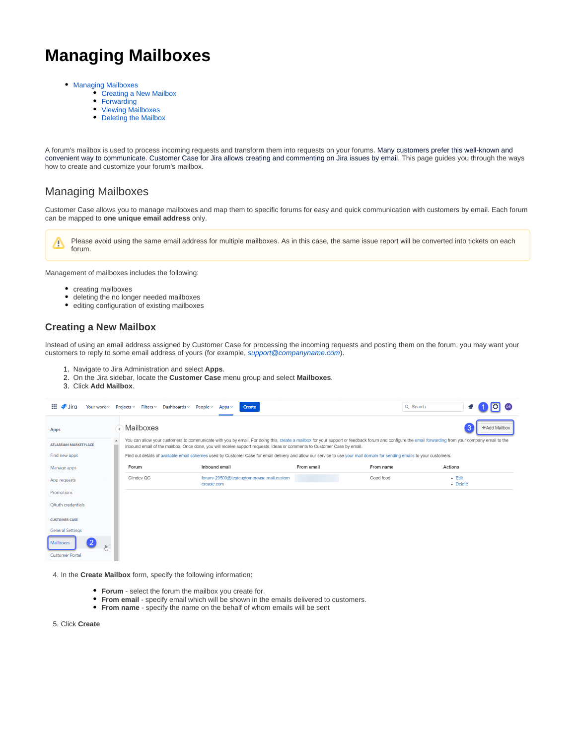# **Managing Mailboxes**

- [Managing Mailboxes](#page-0-0)
	- [Creating a New Mailbox](#page-0-1)
	- [Forwarding](#page-1-0)
	- [Viewing Mailboxes](#page-1-1)
	- [Deleting the Mailbox](#page-2-0)

A forum's mailbox is used to process incoming requests and transform them into requests on your forums. Many customers prefer this well-known and convenient way to communicate. Customer Case for Jira allows creating and commenting on Jira issues by email. This page guides you through the ways how to create and customize your forum's mailbox.

### <span id="page-0-0"></span>Managing Mailboxes

Customer Case allows you to manage mailboxes and map them to specific forums for easy and quick communication with customers by email. Each forum can be mapped to **one unique email address** only.

Please avoid using the same email address for multiple mailboxes. As in this case, the same issue report will be converted into tickets on each Λ forum.

Management of mailboxes includes the following:

- creating mailboxes
- deleting the no longer needed mailboxes
- editing configuration of existing mailboxes

#### <span id="page-0-1"></span>**Creating a New Mailbox**

Instead of using an email address assigned by Customer Case for processing the incoming requests and posting them on the forum, you may want your customers to reply to some email address of yours (for example, [support@companyname.com](mailto:support@companyname.com)).

- 1. Navigate to Jira Administration and select **Apps**.
- 2. On the Jira sidebar, locate the **Customer Case** menu group and select **Mailboxes**.
- 3. Click **Add Mailbox**.

| 88<br><b>Jira</b>                   | Your work ~ Projects ~ Filters ~ Dashboards ~ People ~ | Create<br>Apps $\sim$                                                                                                                                                    |            |           | Q Search                                                                                                                                                                                             |
|-------------------------------------|--------------------------------------------------------|--------------------------------------------------------------------------------------------------------------------------------------------------------------------------|------------|-----------|------------------------------------------------------------------------------------------------------------------------------------------------------------------------------------------------------|
| Apps                                | Mailboxes                                              |                                                                                                                                                                          |            |           | +Add Mailbox                                                                                                                                                                                         |
| <b>ATLASSIAN MARKETPLACE</b>        |                                                        | inbound email of the mailbox. Once done, you will receive support requests, ideas or comments to Customer Case by email.                                                 |            |           | You can allow your customers to communicate with you by email. For doing this, create a mailbox for your support or feedback forum and configure the email forwarding from your company email to the |
| Find new apps                       |                                                        | Find out details of available email schemes used by Customer Case for email delivery and allow our service to use your mail domain for sending emails to your customers. |            |           |                                                                                                                                                                                                      |
| Manage apps                         | Forum                                                  | Inbound email                                                                                                                                                            | From email | From name | Actions                                                                                                                                                                                              |
| App requests                        | Clindev QC                                             | forum+29500@testcustomercase.mail.custom<br>ercase.com                                                                                                                   |            | Good food | $-$ Edit<br>• Delete                                                                                                                                                                                 |
| Promotions                          |                                                        |                                                                                                                                                                          |            |           |                                                                                                                                                                                                      |
| OAuth credentials                   |                                                        |                                                                                                                                                                          |            |           |                                                                                                                                                                                                      |
| <b>CUSTOMER CASE</b>                |                                                        |                                                                                                                                                                          |            |           |                                                                                                                                                                                                      |
| <b>General Settings</b>             |                                                        |                                                                                                                                                                          |            |           |                                                                                                                                                                                                      |
| Mailboxes<br><b>Customer Portal</b> |                                                        |                                                                                                                                                                          |            |           |                                                                                                                                                                                                      |

4. In the **Create Mailbox** form, specify the following information:

- **Forum** select the forum the mailbox you create for.
- **From email** specify email which will be shown in the emails delivered to customers.
- **From name** specify the name on the behalf of whom emails will be sent

5. Click **Create**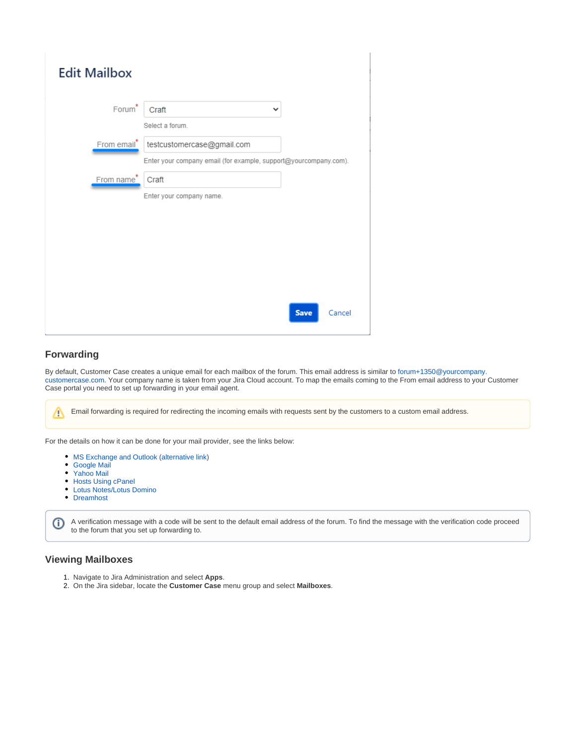| <b>Edit Mailbox</b> |                                                                                                |  |
|---------------------|------------------------------------------------------------------------------------------------|--|
| Forum <sup>*</sup>  | Craft<br>$\check{ }$<br>Select a forum.                                                        |  |
| From email*         | testcustomercase@gmail.com<br>Enter your company email (for example, support@yourcompany.com). |  |
| From name*          | Craft<br>Enter your company name.                                                              |  |
|                     |                                                                                                |  |
|                     |                                                                                                |  |
|                     |                                                                                                |  |
|                     | <b>Save</b><br>Cancel                                                                          |  |

#### <span id="page-1-0"></span>**Forwarding**

Δ

By default, Customer Case creates a unique email for each mailbox of the forum. This email address is similar to [forum+1350@yourcompany.](mailto:forum+1350@yourcompany.customercase.com) [customercase.com.](mailto:forum+1350@yourcompany.customercase.com) Your company name is taken from your Jira Cloud account. To map the emails coming to the From email address to your Customer Case portal you need to set up forwarding in your email agent.

Email forwarding is required for redirecting the incoming emails with requests sent by the customers to a custom email address.

For the details on how it can be done for your mail provider, see the links below:

- [MS Exchange and Outlook](https://support.office.com/en-us/article/Automatically-forward-my-messages-to-another-e-mail-account-9f124e4a-749e-4288-a266-2d009686b403?CorrelationId=b80ab202-e200-4b19-9a2e-85113bbb225e&ui=en-US&rs=en-US&ad=US) ([alternative link\)](https://support.microsoft.com/en-us/kb/281926)
- [Google Mail](https://support.google.com/mail/answer/10957?hl=en)
- [Yahoo Mail](http://help.yahoo.com/kb/index?locale=en_US&page=content&y=PROD_MAIL_ML&id=SLN3525)
- [Hosts Using cPanel](https://docs.cpanel.net/cpanel/email/forwarders/)
- [Lotus Notes/Lotus Domino](https://www.ibm.com/docs/en/aix/7.2?topic=mail-forwarding)
- [Dreamhost](https://help.dreamhost.com/hc/en-us/articles/215724207-How-do-I-add-a-forward-only-email-address-)

A verification message with a code will be sent to the default email address of the forum. To find the message with the verification code proceed ⊕ to the forum that you set up forwarding to.

#### <span id="page-1-1"></span>**Viewing Mailboxes**

- 1. Navigate to Jira Administration and select **Apps**.
- 2. On the Jira sidebar, locate the **Customer Case** menu group and select **Mailboxes**.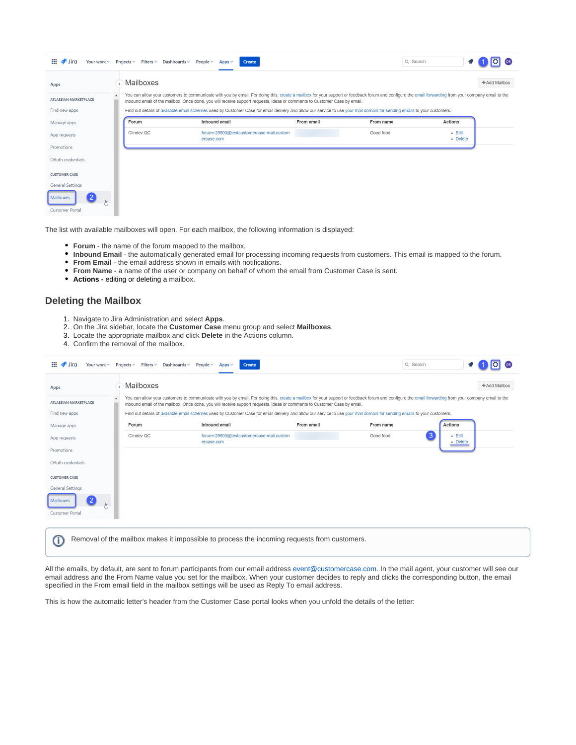| $\mathbf{H}$ $\mathbf{H}$ Jira<br>Your work $\sim$       |                                                                                                                                                                                                                                                                                                                                  | Projects $\vee$ Filters $\vee$ Dashboards $\vee$ | People $\vee$<br>Create<br>Apps $\sim$                 |            |           | Q Search             |  |
|----------------------------------------------------------|----------------------------------------------------------------------------------------------------------------------------------------------------------------------------------------------------------------------------------------------------------------------------------------------------------------------------------|--------------------------------------------------|--------------------------------------------------------|------------|-----------|----------------------|--|
| Apps                                                     |                                                                                                                                                                                                                                                                                                                                  | Mailboxes                                        |                                                        |            |           | +Add Mailbox         |  |
| <b>ATLASSIAN MARKETPLACE</b>                             | You can allow your customers to communicate with you by email. For doing this, create a mailbox for your support or feedback forum and configure the email forwarding from your company email to the<br>inbound email of the mailbox. Once done, you will receive support requests, ideas or comments to Customer Case by email. |                                                  |                                                        |            |           |                      |  |
| Find new apps                                            | Find out details of available email schemes used by Customer Case for email delivery and allow our service to use your mail domain for sending emails to your customers.                                                                                                                                                         |                                                  |                                                        |            |           |                      |  |
| Manage apps                                              |                                                                                                                                                                                                                                                                                                                                  | Forum                                            | Inbound email                                          | From email | From name | Actions              |  |
| App requests                                             |                                                                                                                                                                                                                                                                                                                                  | Clindev QC                                       | forum+29500@testcustomercase.mail.custom<br>ercase.com |            | Good food | $-$ Edit<br>• Delete |  |
| Promotions                                               |                                                                                                                                                                                                                                                                                                                                  |                                                  |                                                        |            |           |                      |  |
| OAuth credentials                                        |                                                                                                                                                                                                                                                                                                                                  |                                                  |                                                        |            |           |                      |  |
| <b>CUSTOMER CASE</b>                                     |                                                                                                                                                                                                                                                                                                                                  |                                                  |                                                        |            |           |                      |  |
| <b>General Settings</b>                                  |                                                                                                                                                                                                                                                                                                                                  |                                                  |                                                        |            |           |                      |  |
| 2<br>Mailboxes<br>$J_{\mu\nu}$<br><b>Customer Portal</b> |                                                                                                                                                                                                                                                                                                                                  |                                                  |                                                        |            |           |                      |  |

The list with available mailboxes will open. For each mailbox, the following information is displayed:

- **Forum** the name of the forum mapped to the mailbox.
- **Inbound Email** the automatically generated email for processing incoming requests from customers. This email is mapped to the forum.
- **From Email** the email address shown in emails with notifications.
- **From Name** a name of the user or company on behalf of whom the email from Customer Case is sent.
- **Actions editing or deleting a mailbox.**

#### <span id="page-2-0"></span>**Deleting the Mailbox**

- 1. Navigate to Jira Administration and select **Apps**.
- 2. On the Jira sidebar, locate the **Customer Case** menu group and select **Mailboxes**.
- 3. Locate the appropriate mailbox and click **Delete** in the Actions column.
- 4. Confirm the removal of the mailbox.

| m.<br>Your work $\vee$<br>Jira                        | Projects $\vee$ Filters $\vee$ Dashboards $\vee$ | People $\vee$<br>Create<br>Apps $\sim$                                                                                                                                                                                                                                                                                           |            | Q Search  |                      |
|-------------------------------------------------------|--------------------------------------------------|----------------------------------------------------------------------------------------------------------------------------------------------------------------------------------------------------------------------------------------------------------------------------------------------------------------------------------|------------|-----------|----------------------|
| Apps                                                  | Mailboxes                                        |                                                                                                                                                                                                                                                                                                                                  |            |           | +Add Mailbox         |
| <b>ATLASSIAN MARKETPLACE</b>                          |                                                  | You can allow your customers to communicate with you by email. For doing this, create a mailbox for your support or feedback forum and configure the email forwarding from your company email to the<br>inbound email of the mailbox. Once done, you will receive support requests, ideas or comments to Customer Case by email. |            |           |                      |
| Find new apps                                         |                                                  | Find out details of available email schemes used by Customer Case for email delivery and allow our service to use your mail domain for sending emails to your customers.                                                                                                                                                         |            |           |                      |
| Manage apps                                           | Forum                                            | Inbound email                                                                                                                                                                                                                                                                                                                    | From email | From name | <b>Actions</b>       |
| App requests                                          | Clindey QC                                       | forum+29500@testcustomercase.mail.custom<br>ercase.com                                                                                                                                                                                                                                                                           |            | Good food | $-$ Edit<br>• Delete |
| Promotions                                            |                                                  |                                                                                                                                                                                                                                                                                                                                  |            |           |                      |
| OAuth credentials                                     |                                                  |                                                                                                                                                                                                                                                                                                                                  |            |           |                      |
| <b>CUSTOMER CASE</b>                                  |                                                  |                                                                                                                                                                                                                                                                                                                                  |            |           |                      |
| <b>General Settings</b>                               |                                                  |                                                                                                                                                                                                                                                                                                                                  |            |           |                      |
| $\overline{2}$<br>Mailboxes<br><b>Customer Portal</b> |                                                  |                                                                                                                                                                                                                                                                                                                                  |            |           |                      |

Removal of the mailbox makes it impossible to process the incoming requests from customers.ത

All the emails, by default, are sent to forum participants from our email address [event@customercase.com](mailto:event@customercase.com). In the mail agent, your customer will see our email address and the From Name value you set for the mailbox. When your customer decides to reply and clicks the corresponding button, the email specified in the From email field in the mailbox settings will be used as Reply To email address.

This is how the automatic letter's header from the Customer Case portal looks when you unfold the details of the letter: